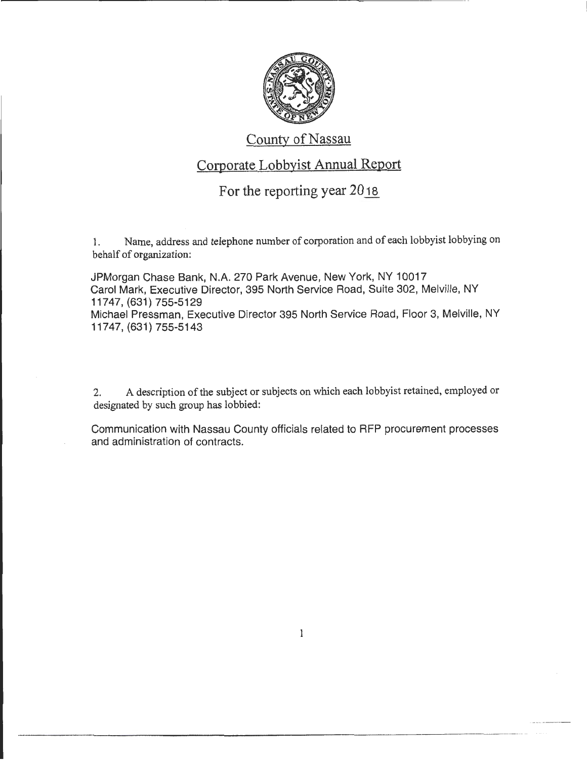

## County of Nassau

## Corporate Lobbyist Annual Report

## For the reporting year 2018.

1. Name, address and telephone number of corporation and of each lobbyist lobbying on behalf of organization:

JPMorgan Chase Bank, N.A. 270 Park Avenue, New York, NY 10017 Carol Mark, Executive Director, 395 North Service Road, Suite 302, Melville, NY 11747, (631) 755-5129 Michael Pressman, Executive Director 395 North Service Road, Floor 3, Melville, NY 11747, (631) 755-5143

2. A description of the subject or subjects on which each lobbyist retained, employed or designated by such group has lobbied:

Communication with Nassau County officials related to RFP procurement processes and administration of contracts.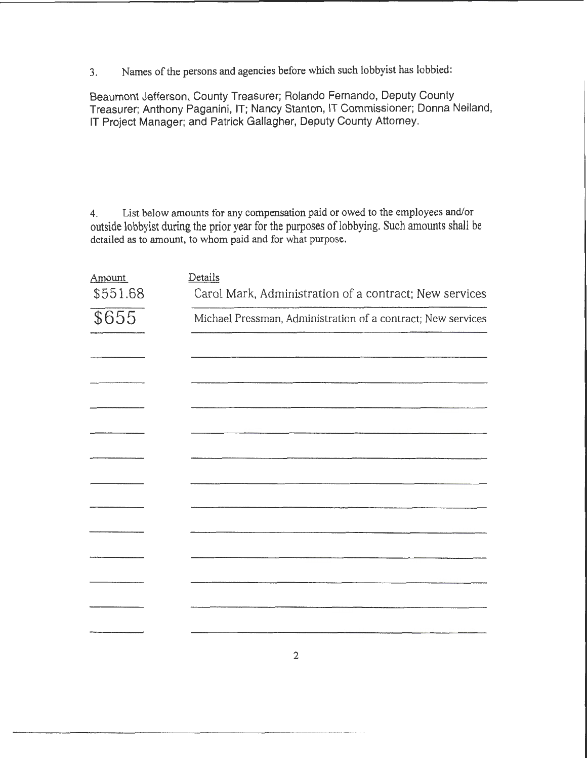3. Names of the persons and agencies before which such lobbyist has lobbied:

Beaumont Jefferson, County Treasurer; Rolando Fernando, Deputy County Treasurer; Anthony Paganini, IT; Nancy Stanton, IT Commissioner; Donna Neiland, IT Project Manager; and Patrick Gallagher, Deputy County Attorney.

4. List below amounts for any compensation paid or owed to the employees and/or outside lobbyist during the prior year for the purposes of lobbying. Such amounts shall be detailed as to amount, to whom paid and for what purpose.

| <b>Amount</b><br>\$551.68 | Details<br>Carol Mark, Administration of a contract; New services |
|---------------------------|-------------------------------------------------------------------|
| \$655                     | Michael Pressman, Administration of a contract; New services      |
|                           |                                                                   |
|                           |                                                                   |
|                           |                                                                   |
|                           |                                                                   |
|                           |                                                                   |
|                           |                                                                   |
|                           |                                                                   |
|                           |                                                                   |
|                           |                                                                   |
|                           |                                                                   |
|                           |                                                                   |
|                           | $\overline{2}$                                                    |

--------------------------------- -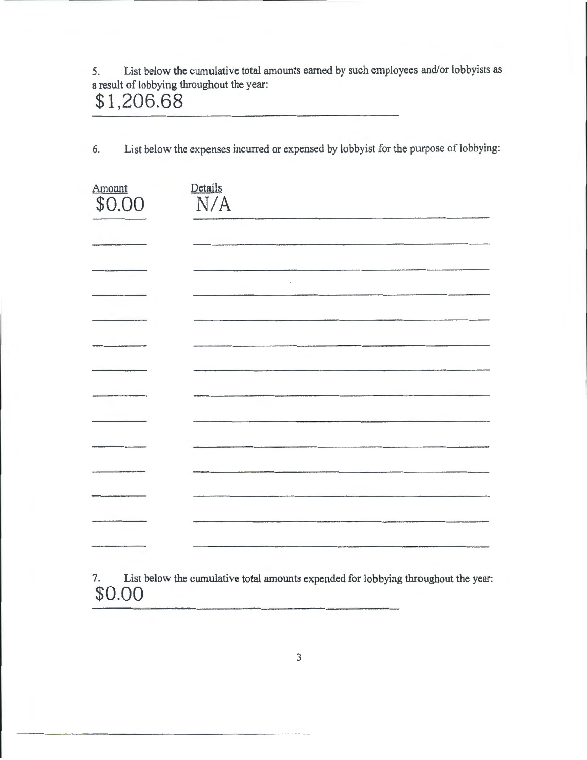5. List below the cumulative total amounts earned by such employees and/or lobbyists as a result of lobbying throughout the year:

## **\$1,206.68**

6. List below the expenses incurred or expensed by lobbyist for the purpose of lobbying:

| Amount<br>\$0.00 | Details<br>N/A |
|------------------|----------------|
|                  |                |
|                  |                |
|                  |                |
|                  |                |
|                  |                |
|                  |                |
|                  |                |
|                  |                |
|                  |                |
|                  |                |
|                  |                |
|                  |                |
|                  |                |

7. List below the cumulative total amounts expended for lobbying throughout the year: **\$0.00**